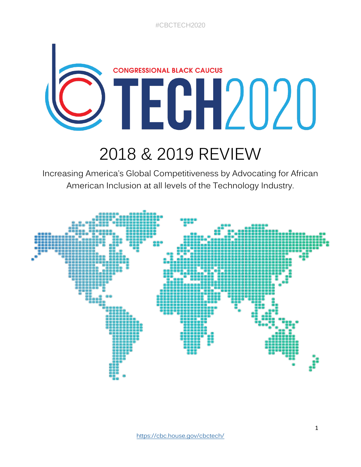# **CONGRESSIONAL BLACK CAUCUS** TECH2020

# 2018 & 2019 REVIEW

Increasing America's Global Competitiveness by Advocating for African American Inclusion at all levels of the Technology Industry.

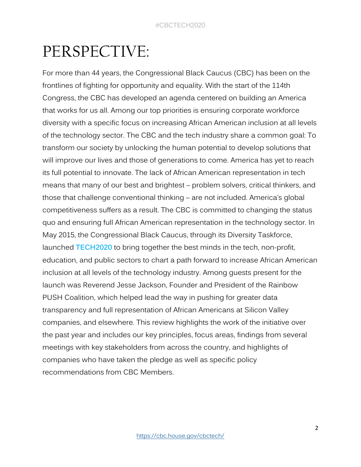### PERSPECTIVE:

For more than 44 years, the Congressional Black Caucus (CBC) has been on the frontlines of fighting for opportunity and equality. With the start of the 114th Congress, the CBC has developed an agenda centered on building an America that works for us all. Among our top priorities is ensuring corporate workforce diversity with a specific focus on increasing African American inclusion at all levels of the technology sector. The CBC and the tech industry share a common goal: To transform our society by unlocking the human potential to develop solutions that will improve our lives and those of generations to come. America has yet to reach its full potential to innovate. The lack of African American representation in tech means that many of our best and brightest – problem solvers, critical thinkers, and those that challenge conventional thinking – are not included. America's global competitiveness suffers as a result. The CBC is committed to changing the status quo and ensuring full African American representation in the technology sector. In May 2015, the Congressional Black Caucus, through its Diversity Taskforce, launched **TECH2020** to bring together the best minds in the tech, non-profit, education, and public sectors to chart a path forward to increase African American inclusion at all levels of the technology industry. Among guests present for the launch was Reverend Jesse Jackson, Founder and President of the Rainbow PUSH Coalition, which helped lead the way in pushing for greater data transparency and full representation of African Americans at Silicon Valley companies, and elsewhere. This review highlights the work of the initiative over the past year and includes our key principles, focus areas, findings from several meetings with key stakeholders from across the country, and highlights of companies who have taken the pledge as well as specific policy recommendations from CBC Members.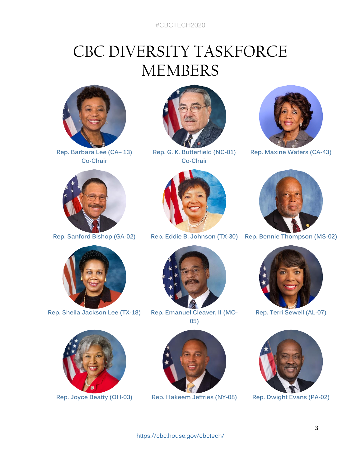#CBCTECH2020

### CBC DIVERSITY TASKFORCE MEMBERS



**Rep. Barbara Lee (CA– 13) Co-Chair**





**Rep. G. K. Butterfield (NC-01) Co-Chair**





**Rep. Maxine Waters (CA-43)**



**Rep. Sanford Bishop (GA-02) Rep. Eddie B. Johnson (TX-30) Rep. Bennie Thompson (MS-02)**





**Rep. Sheila Jackson Lee (TX-18) Rep. Emanuel Cleaver, II (MO-05)**



**Rep. Terri Sewell (AL-07)**



**Rep. Joyce Beatty (OH-03) Rep. Hakeem Jeffries (NY-08) Rep. Dwight Evans (PA-02)**





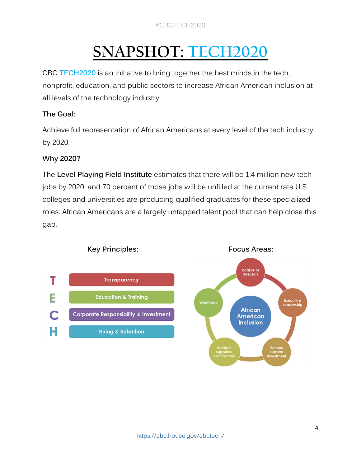# **SNAPSHOT: TECH2020**

CBC **TECH2020** is an initiative to bring together the best minds in the tech, nonprofit, education, and public sectors to increase African American inclusion at all levels of the technology industry.

#### **The Goal:**

Achieve full representation of African Americans at every level of the tech industry by 2020.

#### **Why 2020?**

The **Level Playing Field Institute** estimates that there will be 1.4 million new tech jobs by 2020, and 70 percent of those jobs will be unfilled at the current rate U.S. colleges and universities are producing qualified graduates for these specialized roles. African Americans are a largely untapped talent pool that can help close this gap.



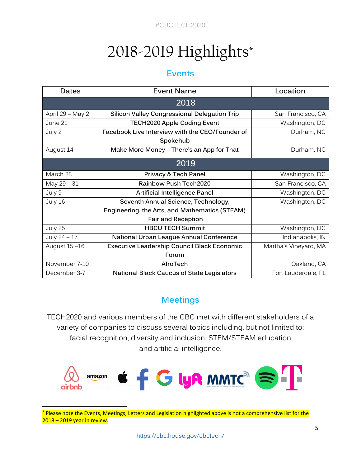# 2018-2019 Highlights\*

#### **Events**

| <b>Dates</b>     | <b>Event Name</b>                                   | Location              |  |  |
|------------------|-----------------------------------------------------|-----------------------|--|--|
| 2018             |                                                     |                       |  |  |
| April 29 - May 2 | <b>Silicon Valley Congressional Delegation Trip</b> | San Francisco, CA     |  |  |
| June 21          | <b>TECH2020 Apple Coding Event</b>                  | Washington, DC        |  |  |
| July 2           | Facebook Live Interview with the CEO/Founder of     | Durham, NC            |  |  |
|                  | Spokehub                                            |                       |  |  |
| August 14        | Make More Money - There's an App for That           | Durham, NC            |  |  |
| 2019             |                                                     |                       |  |  |
| March 28         | Privacy & Tech Panel                                | Washington, DC        |  |  |
| May 29 - 31      | <b>Rainbow Push Tech2020</b>                        | San Francisco, CA     |  |  |
| July 9           | <b>Artificial Intelligence Panel</b>                | Washington, DC        |  |  |
| July 16          | Seventh Annual Science, Technology,                 | Washington, DC        |  |  |
|                  | Engineering, the Arts, and Mathematics (STEAM)      |                       |  |  |
|                  | <b>Fair and Reception</b>                           |                       |  |  |
| July 25          | <b>HBCU TECH Summit</b>                             | Washington, DC        |  |  |
| July 24 - 17     | National Urban League Annual Conference             | Indianapolis, IN      |  |  |
| August 15-16     | <b>Executive Leadership Council Black Economic</b>  | Martha's Vineyard, MA |  |  |
|                  | Forum                                               |                       |  |  |
| November 7-10    | AfroTech                                            | Oakland, CA           |  |  |
| December 3-7     | <b>National Black Caucus of State Legislators</b>   | Fort Lauderdale, FL   |  |  |

#### **Meetings**

TECH2020 and various members of the CBC met with different stakeholders of a variety of companies to discuss several topics including, but not limited to: facial recognition, diversity and inclusion, STEM/STEAM education, and artificial intelligence.



<sup>\*</sup> Please note the Events, Meetings, Letters and Legislation highlighted above is not a comprehensive list for the 2018 – 2019 year in review.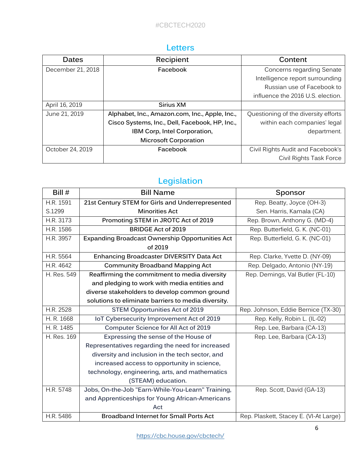#### **Letters**

| Dates             | Recipient                                      | Content                              |
|-------------------|------------------------------------------------|--------------------------------------|
| December 21, 2018 | Facebook                                       | Concerns regarding Senate            |
|                   |                                                | Intelligence report surrounding      |
|                   |                                                | Russian use of Facebook to           |
|                   |                                                | influence the 2016 U.S. election.    |
| April 16, 2019    | Sirius XM                                      |                                      |
| June 21, 2019     | Alphabet, Inc., Amazon.com, Inc., Apple, Inc., | Questioning of the diversity efforts |
|                   | Cisco Systems, Inc., Dell, Facebook, HP, Inc., | within each companies' legal         |
|                   | IBM Corp, Intel Corporation,                   | department.                          |
|                   | <b>Microsoft Corporation</b>                   |                                      |
| October 24, 2019  | Facebook                                       | Civil Rights Audit and Facebook's    |
|                   |                                                | Civil Rights Task Force              |

#### **Legislation**

| Bill $#$    | <b>Bill Name</b>                                       | Sponsor                                |
|-------------|--------------------------------------------------------|----------------------------------------|
| H.R. 1591   | 21st Century STEM for Girls and Underrepresented       | Rep. Beatty, Joyce (OH-3)              |
| S.1299      | <b>Minorities Act</b>                                  | Sen. Harris, Kamala (CA)               |
| H.R. 3173   | Promoting STEM in JROTC Act of 2019                    | Rep. Brown, Anthony G. (MD-4)          |
| H.R. 1586   | <b>BRIDGE Act of 2019</b>                              | Rep. Butterfield, G. K. (NC-01)        |
| H.R. 3957   | <b>Expanding Broadcast Ownership Opportunities Act</b> | Rep. Butterfield, G. K. (NC-01)        |
|             | of 2019                                                |                                        |
| H.R. 5564   | <b>Enhancing Broadcaster DIVERSITY Data Act</b>        | Rep. Clarke, Yvette D. (NY-09)         |
| H.R. 4642   | <b>Community Broadband Mapping Act</b>                 | Rep. Delgado, Antonio (NY-19)          |
| H. Res. 549 | Reaffirming the commitment to media diversity          | Rep. Demings, Val Butler (FL-10)       |
|             | and pledging to work with media entities and           |                                        |
|             | diverse stakeholders to develop common ground          |                                        |
|             | solutions to eliminate barriers to media diversity.    |                                        |
| H.R. 2528   | <b>STEM Opportunities Act of 2019</b>                  | Rep. Johnson, Eddie Bernice (TX-30)    |
| H. R. 1668  | IoT Cybersecurity Improvement Act of 2019              | Rep. Kelly, Robin L. (IL-02)           |
| H. R. 1485  | Computer Science for All Act of 2019                   | Rep. Lee, Barbara (CA-13)              |
| H. Res. 169 | Expressing the sense of the House of                   | Rep. Lee, Barbara (CA-13)              |
|             | Representatives regarding the need for increased       |                                        |
|             | diversity and inclusion in the tech sector, and        |                                        |
|             | increased access to opportunity in science,            |                                        |
|             | technology, engineering, arts, and mathematics         |                                        |
|             | (STEAM) education.                                     |                                        |
| H.R. 5748   | Jobs, On-the-Job "Earn-While-You-Learn" Training,      | Rep. Scott, David (GA-13)              |
|             | and Apprenticeships for Young African-Americans        |                                        |
|             | Act                                                    |                                        |
| H.R. 5486   | <b>Broadband Internet for Small Ports Act</b>          | Rep. Plaskett, Stacey E. (VI-At Large) |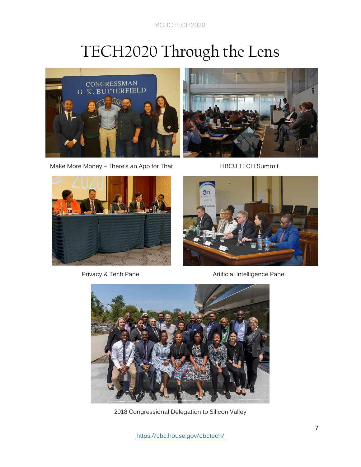#CBCTECH2020

## TECH2020 Through the Lens



Make More Money - There's an App for That HBCU TECH Summit







Privacy & Tech Panel **Artificial Intelligence Panel** 



2018 Congressional Delegation to Silicon Valley